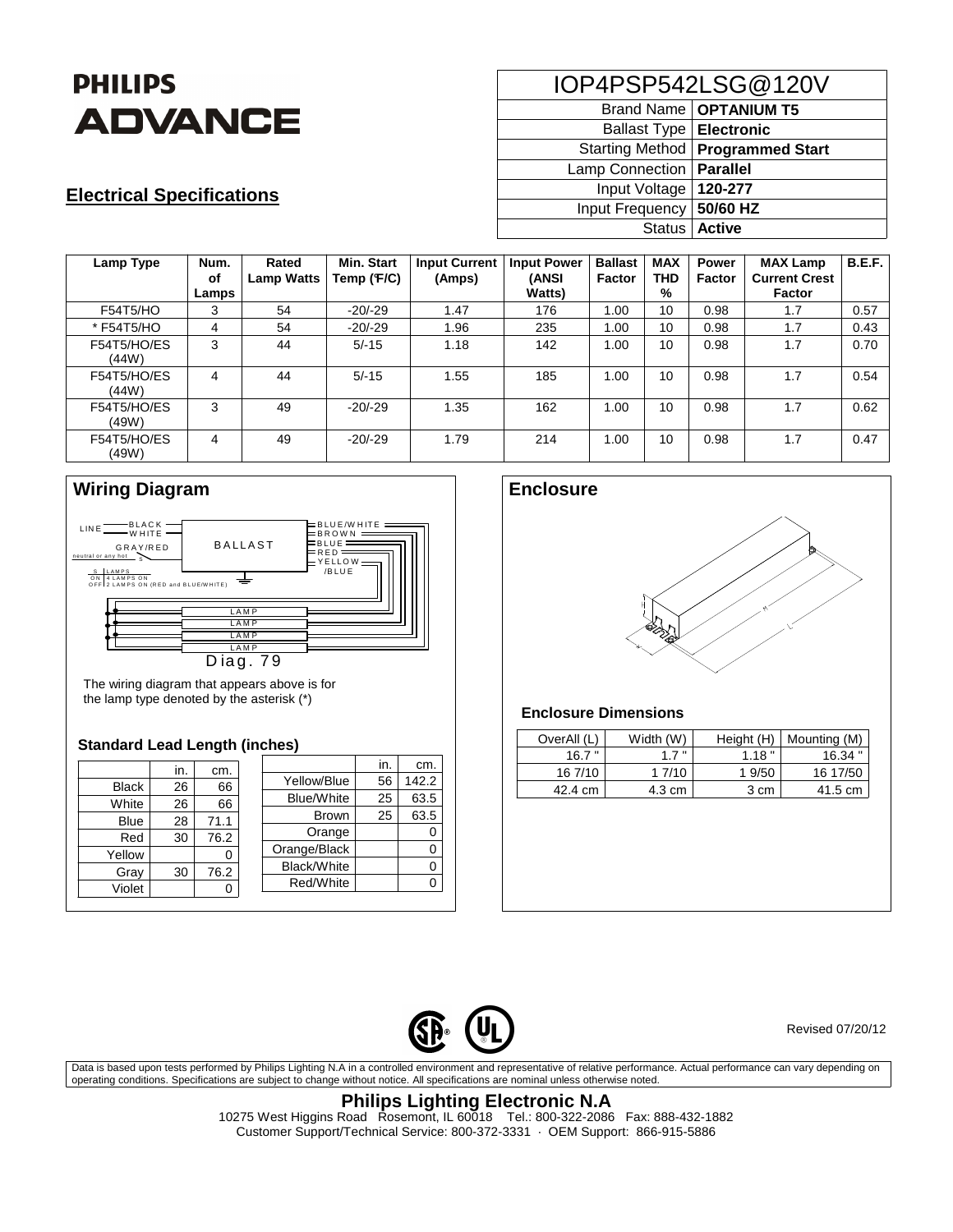

## **Electrical Specifications**

| IOP4PSP542LSG@120V        |                                    |  |  |  |  |
|---------------------------|------------------------------------|--|--|--|--|
|                           | Brand Name   OPTANIUM T5           |  |  |  |  |
| Ballast Type   Electronic |                                    |  |  |  |  |
|                           | Starting Method   Programmed Start |  |  |  |  |
| Lamp Connection           | Parallel                           |  |  |  |  |
| Input Voltage             | 120-277                            |  |  |  |  |
| Input Frequency           | 50/60 HZ                           |  |  |  |  |
| Status   Active           |                                    |  |  |  |  |

| Lamp Type            | Num.<br>оf<br>Lamps | Rated<br><b>Lamp Watts</b> | Min. Start<br>Temp (F/C) | <b>Input Current</b><br>(Amps) | <b>Input Power</b><br>(ANSI<br><b>Watts</b> ) | <b>Ballast</b><br>Factor | <b>MAX</b><br><b>THD</b><br>% | <b>Power</b><br><b>Factor</b> | <b>MAX Lamp</b><br><b>Current Crest</b><br><b>Factor</b> | <b>B.E.F.</b> |
|----------------------|---------------------|----------------------------|--------------------------|--------------------------------|-----------------------------------------------|--------------------------|-------------------------------|-------------------------------|----------------------------------------------------------|---------------|
| F54T5/HO             | 3                   | 54                         | $-20/-29$                | 1.47                           | 176                                           | 1.00                     | 10                            | 0.98                          | 1.7                                                      | 0.57          |
| * F54T5/HO           | 4                   | 54                         | $-20/-29$                | 1.96                           | 235                                           | 1.00                     | 10                            | 0.98                          | 1.7                                                      | 0.43          |
| F54T5/HO/ES<br>(44W) | 3                   | 44                         | $5/-15$                  | 1.18                           | 142                                           | 1.00                     | 10                            | 0.98                          | 1.7                                                      | 0.70          |
| F54T5/HO/ES<br>(44W) | 4                   | 44                         | $5/-15$                  | 1.55                           | 185                                           | 1.00                     | 10                            | 0.98                          | 1.7                                                      | 0.54          |
| F54T5/HO/ES<br>(49W) | 3                   | 49                         | $-20/-29$                | 1.35                           | 162                                           | 1.00                     | 10                            | 0.98                          | 1.7                                                      | 0.62          |
| F54T5/HO/ES<br>(49W) | 4                   | 49                         | $-20/-29$                | 1.79                           | 214                                           | 1.00                     | 10                            | 0.98                          | 1.7                                                      | 0.47          |

## **Wiring Diagram**



The wiring diagram that appears above is for the lamp type denoted by the asterisk (\*)

#### **Standard Lead Length (inches)**

|              | in. | cm.  |                   | in. | cm.   |
|--------------|-----|------|-------------------|-----|-------|
| <b>Black</b> | 26  | 66   | Yellow/Blue       | 56  | 142.2 |
| White        | 26  | 66   | <b>Blue/White</b> | 25  | 63.5  |
| <b>Blue</b>  | 28  | 71.1 | <b>Brown</b>      | 25  | 63.5  |
|              |     |      | Orange            |     |       |
| Red          | 30  | 76.2 | Orange/Black      |     |       |
| Yellow       |     | 0    | Black/White       |     |       |
| Gray         | 30  | 76.2 | Red/White         |     |       |
| Violet       |     |      |                   |     |       |



### **Enclosure Dimensions**

| OverAll (L) | Width (W) | Height (H) | Mounting (M) |
|-------------|-----------|------------|--------------|
| 16.7"       | 17"       | 1.18"      | $16.34$ "    |
| 16 7/10     | 1 7/10    | 1 9/50     | 16 17/50     |
| 42.4 cm     | 4.3 cm    | 3 cm       | 41.5 cm      |



Revised 07/20/12

Data is based upon tests performed by Philips Lighting N.A in a controlled environment and representative of relative performance. Actual performance can vary depending on operating conditions. Specifications are subject to change without notice. All specifications are nominal unless otherwise noted.

## **Philips Lighting Electronic N.A**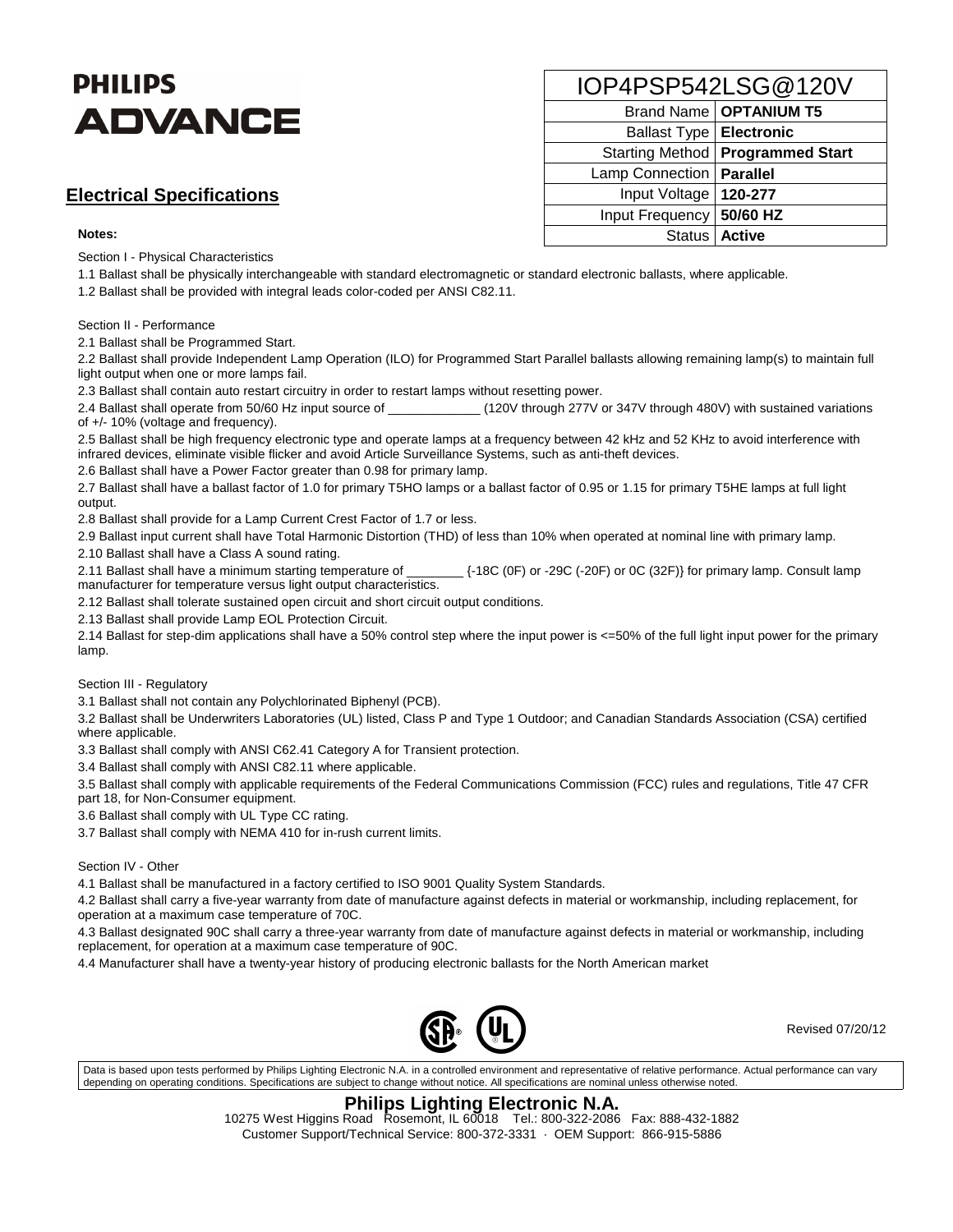# **PHILIPS ADVANCE**

## **Electrical Specifications**

#### **Notes:**

Section I - Physical Characteristics

1.1 Ballast shall be physically interchangeable with standard electromagnetic or standard electronic ballasts, where applicable.

1.2 Ballast shall be provided with integral leads color-coded per ANSI C82.11.

Section II - Performance

2.1 Ballast shall be Programmed Start.

2.2 Ballast shall provide Independent Lamp Operation (ILO) for Programmed Start Parallel ballasts allowing remaining lamp(s) to maintain full light output when one or more lamps fail.

2.3 Ballast shall contain auto restart circuitry in order to restart lamps without resetting power.

2.4 Ballast shall operate from 50/60 Hz input source of  $120V$  through 277V or 347V through 480V) with sustained variations of +/- 10% (voltage and frequency).

2.5 Ballast shall be high frequency electronic type and operate lamps at a frequency between 42 kHz and 52 KHz to avoid interference with infrared devices, eliminate visible flicker and avoid Article Surveillance Systems, such as anti-theft devices.

2.6 Ballast shall have a Power Factor greater than 0.98 for primary lamp.

2.7 Ballast shall have a ballast factor of 1.0 for primary T5HO lamps or a ballast factor of 0.95 or 1.15 for primary T5HE lamps at full light output.

2.8 Ballast shall provide for a Lamp Current Crest Factor of 1.7 or less.

2.9 Ballast input current shall have Total Harmonic Distortion (THD) of less than 10% when operated at nominal line with primary lamp.

2.10 Ballast shall have a Class A sound rating.

2.11 Ballast shall have a minimum starting temperature of \_\_\_\_\_\_\_\_ {-18C (0F) or -29C (-20F) or 0C (32F)} for primary lamp. Consult lamp manufacturer for temperature versus light output characteristics.

2.12 Ballast shall tolerate sustained open circuit and short circuit output conditions.

2.13 Ballast shall provide Lamp EOL Protection Circuit.

2.14 Ballast for step-dim applications shall have a 50% control step where the input power is <=50% of the full light input power for the primary lamp.

Section III - Regulatory

3.1 Ballast shall not contain any Polychlorinated Biphenyl (PCB).

3.2 Ballast shall be Underwriters Laboratories (UL) listed, Class P and Type 1 Outdoor; and Canadian Standards Association (CSA) certified where applicable.

3.3 Ballast shall comply with ANSI C62.41 Category A for Transient protection.

3.4 Ballast shall comply with ANSI C82.11 where applicable.

3.5 Ballast shall comply with applicable requirements of the Federal Communications Commission (FCC) rules and regulations, Title 47 CFR part 18, for Non-Consumer equipment.

3.6 Ballast shall comply with UL Type CC rating.

3.7 Ballast shall comply with NEMA 410 for in-rush current limits.

Section IV - Other

4.1 Ballast shall be manufactured in a factory certified to ISO 9001 Quality System Standards.

4.2 Ballast shall carry a five-year warranty from date of manufacture against defects in material or workmanship, including replacement, for operation at a maximum case temperature of 70C.

4.3 Ballast designated 90C shall carry a three-year warranty from date of manufacture against defects in material or workmanship, including replacement, for operation at a maximum case temperature of 90C.

4.4 Manufacturer shall have a twenty-year history of producing electronic ballasts for the North American market



Revised 07/20/12

Data is based upon tests performed by Philips Lighting Electronic N.A. in a controlled environment and representative of relative performance. Actual performance can vary depending on operating conditions. Specifications are subject to change without notice. All specifications are nominal unless otherwise noted.

## **Philips Lighting Electronic N.A.**

| IOP4PSP542LSG@120V         |                                    |  |  |  |  |  |
|----------------------------|------------------------------------|--|--|--|--|--|
| Brand Name   OPTANIUM T5   |                                    |  |  |  |  |  |
| Ballast Type   Electronic  |                                    |  |  |  |  |  |
|                            | Starting Method   Programmed Start |  |  |  |  |  |
| Lamp Connection            | <b>Parallel</b>                    |  |  |  |  |  |
| Input Voltage   120-277    |                                    |  |  |  |  |  |
| Input Frequency   50/60 HZ |                                    |  |  |  |  |  |
|                            | Status   Active                    |  |  |  |  |  |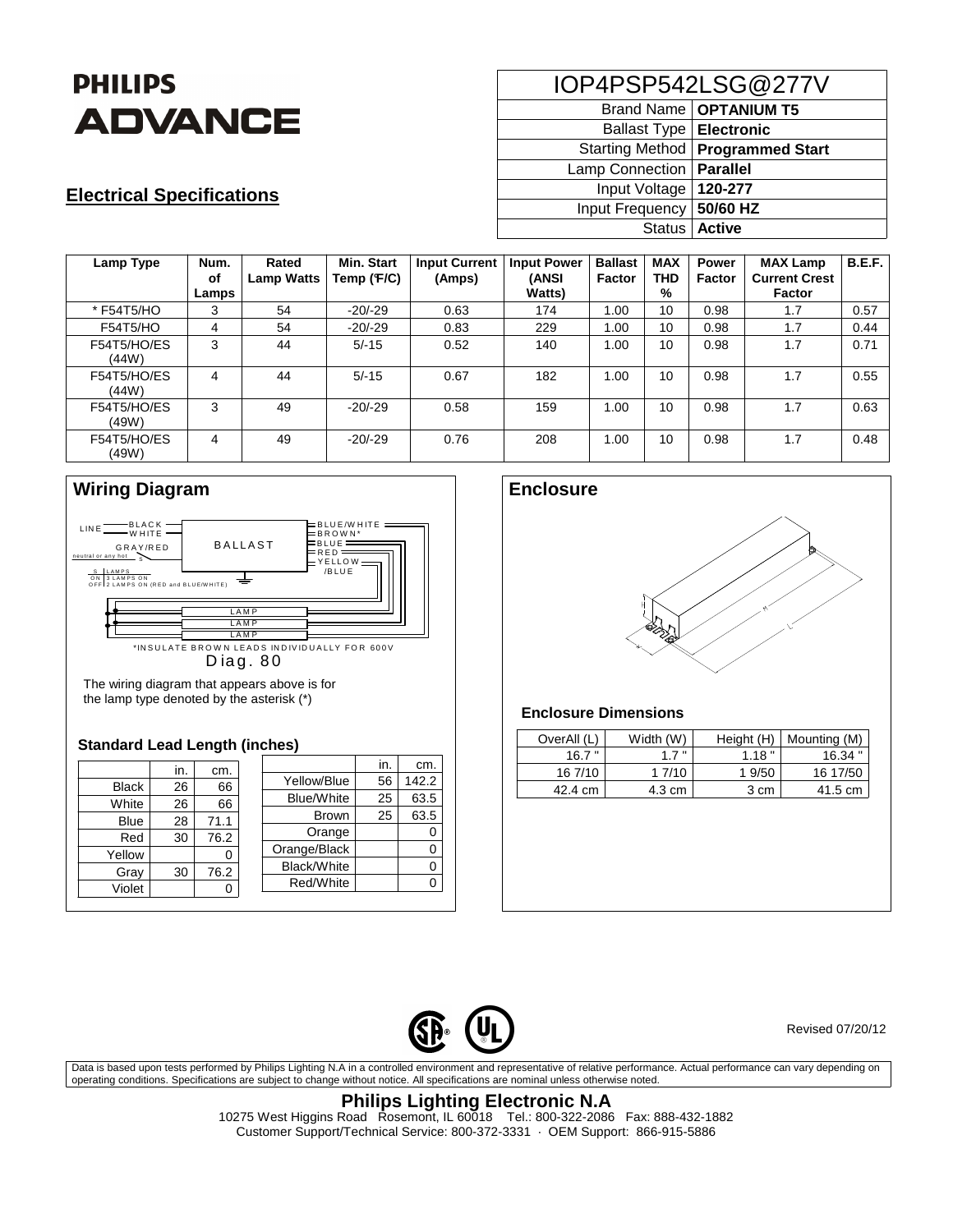

## **Electrical Specifications**

| IOP4PSP542LSG@277V        |                                    |  |  |  |  |
|---------------------------|------------------------------------|--|--|--|--|
|                           | Brand Name   OPTANIUM T5           |  |  |  |  |
| Ballast Type   Electronic |                                    |  |  |  |  |
|                           | Starting Method   Programmed Start |  |  |  |  |
| Lamp Connection           | Parallel                           |  |  |  |  |
| Input Voltage             | 120-277                            |  |  |  |  |
| Input Frequency           | 50/60 HZ                           |  |  |  |  |
|                           | Status   Active                    |  |  |  |  |

| Lamp Type            | Num.<br>оf<br>Lamps | Rated<br><b>Lamp Watts</b> | <b>Min. Start</b><br>Temp (F/C) | <b>Input Current</b><br>(Amps) | <b>Input Power</b><br>(ANSI<br><b>Watts</b> ) | <b>Ballast</b><br>Factor | <b>MAX</b><br><b>THD</b><br>% | <b>Power</b><br><b>Factor</b> | <b>MAX Lamp</b><br><b>Current Crest</b><br><b>Factor</b> | <b>B.E.F.</b> |
|----------------------|---------------------|----------------------------|---------------------------------|--------------------------------|-----------------------------------------------|--------------------------|-------------------------------|-------------------------------|----------------------------------------------------------|---------------|
| * F54T5/HO           | 3                   | 54                         | $-20/-29$                       | 0.63                           | 174                                           | 1.00                     | 10                            | 0.98                          | 1.7                                                      | 0.57          |
| F54T5/HO             | 4                   | 54                         | $-20/-29$                       | 0.83                           | 229                                           | 1.00                     | 10                            | 0.98                          | 1.7                                                      | 0.44          |
| F54T5/HO/ES<br>(44W) | 3                   | 44                         | $5/-15$                         | 0.52                           | 140                                           | 1.00                     | 10                            | 0.98                          | 1.7                                                      | 0.71          |
| F54T5/HO/ES<br>(44W) | 4                   | 44                         | $5/-15$                         | 0.67                           | 182                                           | 1.00                     | 10                            | 0.98                          | 1.7                                                      | 0.55          |
| F54T5/HO/ES<br>(49W) | 3                   | 49                         | $-20/-29$                       | 0.58                           | 159                                           | 1.00                     | 10                            | 0.98                          | 1.7                                                      | 0.63          |
| F54T5/HO/ES<br>(49W) | 4                   | 49                         | $-20/-29$                       | 0.76                           | 208                                           | 1.00                     | 10                            | 0.98                          | 1.7                                                      | 0.48          |





The wiring diagram that appears above is for the lamp type denoted by the asterisk (\*)

#### **Standard Lead Length (inches)**

|              | in. | cm.  |                   | in. | cm.   |
|--------------|-----|------|-------------------|-----|-------|
| <b>Black</b> | 26  | 66   | Yellow/Blue       | 56  | 142.2 |
| White        | 26  | 66   | <b>Blue/White</b> | 25  | 63.5  |
| <b>Blue</b>  | 28  | 71.1 | <b>Brown</b>      | 25  | 63.5  |
|              |     |      | Orange            |     |       |
| Red          | 30  | 76.2 | Orange/Black      |     |       |
| Yellow       |     | Ω    | Black/White       |     | 0     |
| Gray         | 30  | 76.2 | Red/White         |     |       |
| Violet       |     |      |                   |     |       |



### **Enclosure Dimensions**

| OverAll (L) | Width (W) | Height (H) | Mounting (M) |
|-------------|-----------|------------|--------------|
| 16.7"       | 17"       | 1.18"      | $16.34$ "    |
| 16 7/10     | 1 7/10    | 1 9/50     | 16 17/50     |
| 42.4 cm     | 4.3 cm    | 3 cm       | 41.5 cm      |



Revised 07/20/12

Data is based upon tests performed by Philips Lighting N.A in a controlled environment and representative of relative performance. Actual performance can vary depending on operating conditions. Specifications are subject to change without notice. All specifications are nominal unless otherwise noted.

## **Philips Lighting Electronic N.A**